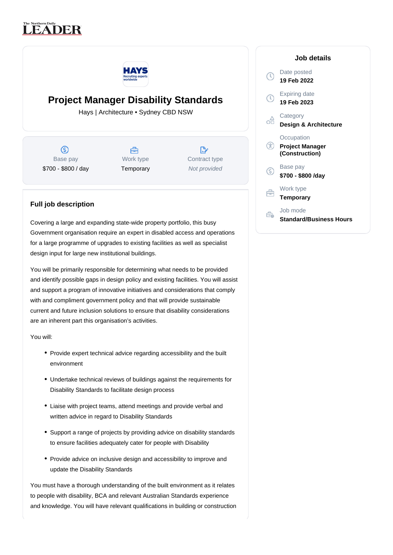## **LEADER**



## **Project Manager Disability Standards**

Hays | Architecture • Sydney CBD NSW

ග Base pay \$700 - \$800 / day



 $\mathbb{R}^{\cdot}$ Contract type Not provided

## **Full job description**

Covering a large and expanding state-wide property portfolio, this busy Government organisation require an expert in disabled access and operations for a large programme of upgrades to existing facilities as well as specialist design input for large new institutional buildings.

You will be primarily responsible for determining what needs to be provided and identify possible gaps in design policy and existing facilities. You will assist and support a program of innovative initiatives and considerations that comply with and compliment government policy and that will provide sustainable current and future inclusion solutions to ensure that disability considerations are an inherent part this organisation's activities.

You will:

- Provide expert technical advice regarding accessibility and the built environment
- Undertake technical reviews of buildings against the requirements for Disability Standards to facilitate design process
- Liaise with project teams, attend meetings and provide verbal and written advice in regard to Disability Standards
- Support a range of projects by providing advice on disability standards to ensure facilities adequately cater for people with Disability
- Provide advice on inclusive design and accessibility to improve and update the Disability Standards

You must have a thorough understanding of the built environment as it relates to people with disability, BCA and relevant Australian Standards experience and knowledge. You will have relevant qualifications in building or construction

|   | Job details                                            |
|---|--------------------------------------------------------|
| Ţ | Date posted<br>19 Feb 2022                             |
| υ | Expiring date<br>19 Feb 2023                           |
|   | Category<br>Design & Architecture                      |
| Œ | Occupation<br><b>Project Manager</b><br>(Construction) |
| S | Base pay<br>\$700 - \$800 /day                         |
|   | Work type<br>Temporary                                 |
|   | Job mode<br><b>Standard/Business Hours</b>             |